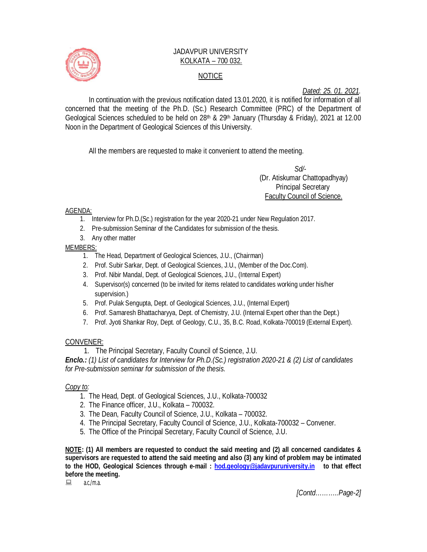

## JADAVPUR UNIVERSITY KOLKATA – 700 032. NOTICE

*Dated: 25. 01. 2021.*

In continuation with the previous notification dated 13.01.2020, it is notified for information of all concerned that the meeting of the Ph.D. (Sc.) Research Committee (PRC) of the Department of Geological Sciences scheduled to be held on 28<sup>th</sup> & 29<sup>th</sup> January (Thursday & Friday), 2021 at 12.00 Noon in the Department of Geological Sciences of this University.

All the members are requested to make it convenient to attend the meeting.

 *Sd/-*  (Dr. Atiskumar Chattopadhyay) Principal Secretary Faculty Council of Science.

AGENDA:

- 1. Interview for Ph.D.(Sc.) registration for the year 2020-21 under New Regulation 2017.
- 2. Pre-submission Seminar of the Candidates for submission of the thesis.
- 3. Any other matter

MEMBERS:

- 1. The Head, Department of Geological Sciences, J.U., (Chairman)
- 2. Prof. Subir Sarkar, Dept. of Geological Sciences, J.U., (Member of the Doc.Com).
- 3. Prof. Nibir Mandal, Dept. of Geological Sciences, J.U., (Internal Expert)
- 4. Supervisor(s) concerned (to be invited for items related to candidates working under his/her supervision.)
- 5. Prof. Pulak Sengupta, Dept. of Geological Sciences, J.U., (Internal Expert)
- 6. Prof. Samaresh Bhattacharyya, Dept. of Chemistry, J.U. (Internal Expert other than the Dept.)
- 7. Prof. Jyoti Shankar Roy, Dept. of Geology, C.U., 35, B.C. Road, Kolkata-700019 (External Expert).

#### CONVENER:

1. The Principal Secretary, Faculty Council of Science, J.U.

*Enclo.: (1) List of candidates for Interview for Ph.D.(Sc.) registration 2020-21 & (2) List of candidates for Pre-submission seminar for submission of the thesis.*

#### *Copy to:*

- 1. The Head, Dept. of Geological Sciences, J.U., Kolkata-700032
- 2. The Finance officer, J.U., Kolkata 700032.
- 3. The Dean, Faculty Council of Science, J.U., Kolkata 700032.
- 4. The Principal Secretary, Faculty Council of Science, J.U., Kolkata-700032 Convener.
- 5. The Office of the Principal Secretary, Faculty Council of Science, J.U.

**NOTE: (1) All members are requested to conduct the said meeting and (2) all concerned candidates & supervisors are requested to attend the said meeting and also (3) any kind of problem may be intimated to the HOD, Geological Sciences through e-mail : hod.geology@jadavpuruniversity.in to that effect before the meeting.**

 $a.c./ma$ 

*[Contd………..Page-2]*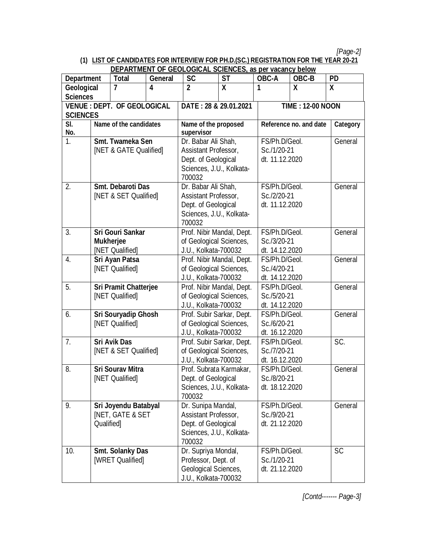*[Page-2]*

# **(1) LIST OF CANDIDATES FOR INTERVIEW FOR PH.D.(SC.) REGISTRATION FOR THE YEAR 20-21**

|                                    |                              |                             |                           | <b>DEPARTMENT OF GEOLOGICAL SCIENCES, as per vacancy below</b> |               |                               |                         |           |  |
|------------------------------------|------------------------------|-----------------------------|---------------------------|----------------------------------------------------------------|---------------|-------------------------------|-------------------------|-----------|--|
| <b>Department</b>                  |                              | <b>Total</b>                | <b>General</b>            | <b>SC</b>                                                      | <b>ST</b>     | OBC-A                         | OBC-B                   | <b>PD</b> |  |
| Geological                         |                              | 7                           | 4                         | $\overline{2}$                                                 | $\mathsf{X}$  | 1                             | X                       | X         |  |
| <b>Sciences</b>                    |                              |                             |                           |                                                                |               |                               |                         |           |  |
| <b>VENUE : DEPT. OF GEOLOGICAL</b> |                              |                             |                           | DATE: 28 & 29.01.2021                                          |               |                               | <b>TIME: 12-00 NOON</b> |           |  |
| <b>SCIENCES</b>                    |                              |                             |                           |                                                                |               | Category                      |                         |           |  |
| SI.                                | Name of the candidates       |                             | Name of the proposed      |                                                                |               | Reference no. and date        |                         |           |  |
| No.                                |                              |                             | supervisor                |                                                                |               |                               |                         |           |  |
| $\overline{1}$ .                   | Smt. Twameka Sen             |                             | Dr. Babar Ali Shah,       |                                                                | FS/Ph.D/Geol. |                               | General                 |           |  |
|                                    | [NET & GATE Qualified]       |                             | Assistant Professor,      |                                                                | Sc./1/20-21   |                               |                         |           |  |
|                                    |                              |                             |                           | Dept. of Geological<br>Sciences, J.U., Kolkata-                |               | dt. 11.12.2020                |                         |           |  |
|                                    |                              |                             |                           |                                                                |               |                               |                         |           |  |
|                                    |                              |                             |                           | 700032                                                         |               |                               |                         | General   |  |
| 2.                                 |                              | Smt. Debaroti Das           |                           | Dr. Babar Ali Shah,                                            |               |                               | FS/Ph.D/Geol.           |           |  |
|                                    | [NET & SET Qualified]        |                             |                           | Assistant Professor,<br>Dept. of Geological                    |               | Sc./2/20-21<br>dt. 11.12.2020 |                         |           |  |
|                                    |                              |                             |                           | Sciences, J.U., Kolkata-                                       |               |                               |                         |           |  |
|                                    |                              |                             |                           | 700032                                                         |               |                               |                         |           |  |
| 3.                                 | <b>Sri Gouri Sankar</b>      |                             |                           | Prof. Nibir Mandal, Dept.                                      |               |                               | FS/Ph.D/Geol.           |           |  |
|                                    | <b>Mukherjee</b>             |                             |                           | of Geological Sciences,                                        |               |                               | Sc./3/20-21             |           |  |
| [NET Qualified]                    |                              |                             | J.U., Kolkata-700032      |                                                                |               | dt. 14.12.2020                |                         |           |  |
| 4.                                 | Sri Ayan Patsa               |                             | Prof. Nibir Mandal, Dept. |                                                                | FS/Ph.D/Geol. |                               | General                 |           |  |
|                                    |                              | [NET Qualified]             |                           | of Geological Sciences,                                        |               | Sc./4/20-21                   |                         |           |  |
|                                    |                              |                             |                           | J.U., Kolkata-700032                                           |               | dt. 14.12.2020                |                         |           |  |
| 5.                                 | <b>Sri Pramit Chatterjee</b> |                             | Prof. Nibir Mandal, Dept. |                                                                |               | FS/Ph.D/Geol.                 |                         |           |  |
|                                    |                              | [NET Qualified]             |                           | of Geological Sciences,                                        |               | Sc./5/20-21                   |                         | General   |  |
|                                    |                              |                             |                           | J.U., Kolkata-700032                                           |               | dt. 14.12.2020                |                         |           |  |
| 6.                                 | Sri Souryadip Ghosh          |                             |                           | Prof. Subir Sarkar, Dept.                                      |               | FS/Ph.D/Geol.                 |                         | General   |  |
|                                    | [NET Qualified]              |                             |                           | of Geological Sciences,                                        |               | Sc./6/20-21                   |                         |           |  |
|                                    |                              |                             |                           | J.U., Kolkata-700032                                           |               | dt. 16.12.2020                |                         |           |  |
| 7 <sub>1</sub>                     |                              | <b>Sri Avik Das</b>         |                           | Prof. Subir Sarkar, Dept.                                      |               | FS/Ph.D/Geol.                 |                         | SC.       |  |
|                                    |                              | [NET & SET Qualified]       |                           | of Geological Sciences,                                        |               | Sc./7/20-21                   |                         |           |  |
|                                    |                              |                             |                           | J.U., Kolkata-700032                                           |               | dt. 16.12.2020                |                         |           |  |
| 8.                                 |                              | <b>Sri Sourav Mitra</b>     |                           | Prof. Subrata Karmakar,                                        |               | FS/Ph.D/Geol.                 |                         | General   |  |
|                                    |                              | [NET Qualified]             |                           | Dept. of Geological                                            |               | Sc./8/20-21                   |                         |           |  |
|                                    |                              |                             |                           | Sciences, J.U., Kolkata-                                       |               | dt. 18.12.2020                |                         |           |  |
|                                    |                              |                             |                           | 700032                                                         |               |                               |                         |           |  |
| 9.                                 |                              | Sri Joyendu Batabyal        |                           | Dr. Sunipa Mandal,                                             |               | FS/Ph.D/Geol.                 |                         | General   |  |
|                                    |                              | <b>INET, GATE &amp; SET</b> |                           | Assistant Professor,                                           |               | Sc./9/20-21                   |                         |           |  |
|                                    | Qualified                    |                             |                           | Dept. of Geological                                            |               | dt. 21.12.2020                |                         |           |  |
|                                    |                              |                             |                           | Sciences, J.U., Kolkata-                                       |               |                               |                         |           |  |
|                                    |                              |                             |                           | 700032                                                         |               |                               |                         |           |  |
| 10.                                |                              | <b>Smt. Solanky Das</b>     |                           | Dr. Supriya Mondal,                                            |               | FS/Ph.D/Geol.                 |                         | <b>SC</b> |  |
|                                    |                              | [WRET Qualified]            |                           | Professor, Dept. of                                            |               | Sc./1/20-21                   |                         |           |  |
|                                    |                              |                             |                           | <b>Geological Sciences,</b>                                    |               | dt. 21.12.2020                |                         |           |  |
|                                    |                              |                             |                           | J.U., Kolkata-700032                                           |               |                               |                         |           |  |

*[Contd------- Page-3]*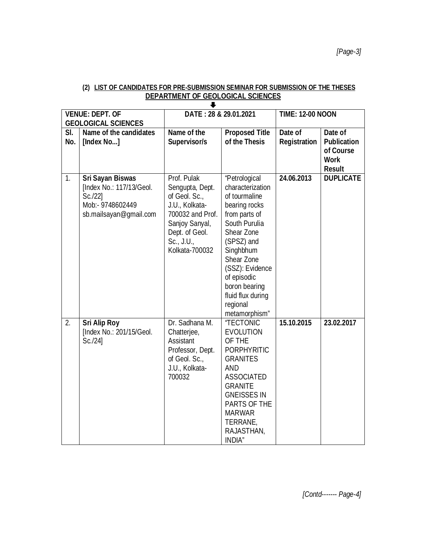|                               | <b>VENUE: DEPT. OF</b>     | DATE: 28 & 29.01.2021                |                    | <b>TIME: 12-00 NOON</b> |                    |  |  |
|-------------------------------|----------------------------|--------------------------------------|--------------------|-------------------------|--------------------|--|--|
|                               | <b>GEOLOGICAL SCIENCES</b> |                                      |                    |                         |                    |  |  |
| SI.<br>Name of the candidates |                            | Name of the<br><b>Proposed Title</b> |                    | Date of<br>Date of      |                    |  |  |
| No.                           | [Index No]                 | Supervisor/s                         | of the Thesis      | <b>Registration</b>     | <b>Publication</b> |  |  |
|                               |                            |                                      |                    |                         | of Course          |  |  |
|                               |                            |                                      |                    |                         | <b>Work</b>        |  |  |
|                               |                            |                                      |                    |                         | <b>Result</b>      |  |  |
| $\mathbf{1}$ .                | <b>Sri Sayan Biswas</b>    | Prof. Pulak                          | "Petrological      | 24.06.2013              | <b>DUPLICATE</b>   |  |  |
|                               | [Index No.: 117/13/Geol.   | Sengupta, Dept.                      | characterization   |                         |                    |  |  |
|                               | $Sc.$ /22]                 | of Geol. Sc.,                        | of tourmaline      |                         |                    |  |  |
|                               | Mob:- 9748602449           | J.U., Kolkata-                       | bearing rocks      |                         |                    |  |  |
|                               | sb.mailsayan@qmail.com     | 700032 and Prof.                     | from parts of      |                         |                    |  |  |
|                               |                            | Sanjoy Sanyal,                       | South Purulia      |                         |                    |  |  |
|                               |                            | Dept. of Geol.                       | Shear Zone         |                         |                    |  |  |
|                               |                            | Sc., J.U.,                           | (SPSZ) and         |                         |                    |  |  |
|                               |                            | Kolkata-700032                       | Singhbhum          |                         |                    |  |  |
|                               |                            |                                      | Shear Zone         |                         |                    |  |  |
|                               |                            |                                      | (SSZ): Evidence    |                         |                    |  |  |
|                               |                            |                                      | of episodic        |                         |                    |  |  |
|                               |                            |                                      | boron bearing      |                         |                    |  |  |
|                               |                            |                                      | fluid flux during  |                         |                    |  |  |
|                               |                            |                                      | regional           |                         |                    |  |  |
|                               |                            |                                      | metamorphism"      |                         |                    |  |  |
| 2.                            | <b>Sri Alip Roy</b>        | Dr. Sadhana M.                       | <b>"TECTONIC</b>   | 15.10.2015              | 23.02.2017         |  |  |
|                               | [Index No.: 201/15/Geol.   | Chatterjee,                          | <b>EVOLUTION</b>   |                         |                    |  |  |
|                               | Sc./24]                    | Assistant                            | OF THE             |                         |                    |  |  |
|                               |                            | Professor, Dept.                     | <b>PORPHYRITIC</b> |                         |                    |  |  |
|                               |                            | of Geol. Sc.,                        | <b>GRANITES</b>    |                         |                    |  |  |
|                               |                            | J.U., Kolkata-                       | <b>AND</b>         |                         |                    |  |  |
|                               |                            | 700032                               | <b>ASSOCIATED</b>  |                         |                    |  |  |
|                               |                            |                                      | <b>GRANITE</b>     |                         |                    |  |  |
|                               |                            |                                      | <b>GNEISSES IN</b> |                         |                    |  |  |
|                               |                            |                                      | PARTS OF THE       |                         |                    |  |  |
|                               |                            |                                      | <b>MARWAR</b>      |                         |                    |  |  |
|                               |                            |                                      | TERRANE,           |                         |                    |  |  |
|                               |                            |                                      | RAJASTHAN,         |                         |                    |  |  |
|                               |                            |                                      | <b>INDIA</b> "     |                         |                    |  |  |

### **(2) LIST OF CANDIDATES FOR PRE-SUBMISSION SEMINAR FOR SUBMISSION OF THE THESES DEPARTMENT OF GEOLOGICAL SCIENCES**

*[Contd------- Page-4]*